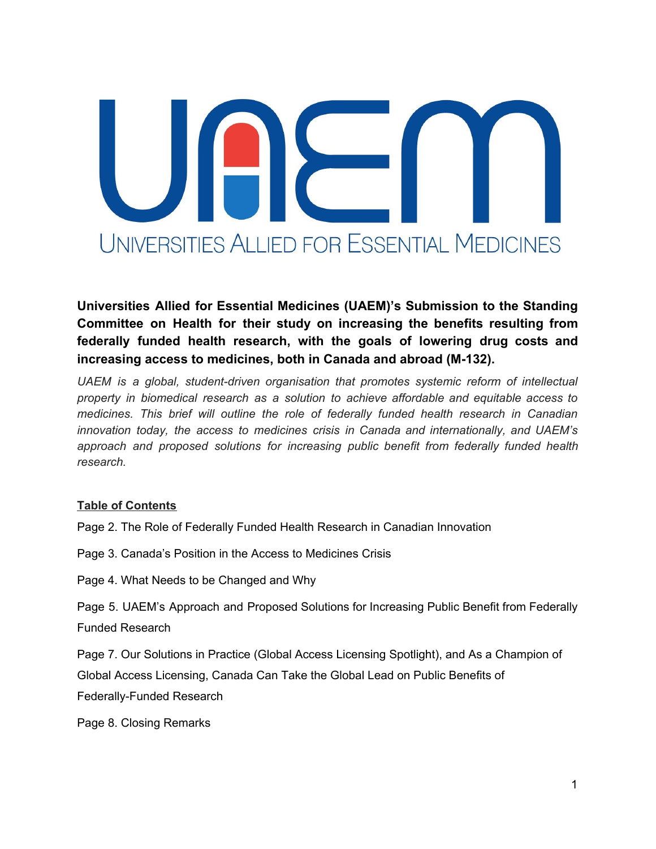# UNIVERSITIES ALLIED FOR ESSENTIAL MEDICINES

**Universities Allied for Essential Medicines (UAEM)'s Submission to the Standing Committee on Health for their study on increasing the benefits resulting from federally funded health research, with the goals of lowering drug costs and increasing access to medicines, both in Canada and abroad (M-132).**

*UAEM is a global, student-driven organisation that promotes systemic reform of intellectual property in biomedical research as a solution to achieve affordable and equitable access to medicines. This brief will outline the role of federally funded health research in Canadian innovation today, the access to medicines crisis in Canada and internationally, and UAEM's approach and proposed solutions for increasing public benefit from federally funded health research.*

# **Table of Contents**

Page 2. The Role of Federally Funded Health Research in Canadian Innovation

Page 3. Canada's Position in the Access to Medicines Crisis

Page 4. What Needs to be Changed and Why

Page 5. UAEM's Approach and Proposed Solutions for Increasing Public Benefit from Federally Funded Research

Page 7. Our Solutions in Practice (Global Access Licensing Spotlight), and As a Champion of Global Access Licensing, Canada Can Take the Global Lead on Public Benefits of Federally-Funded Research

Page 8. Closing Remarks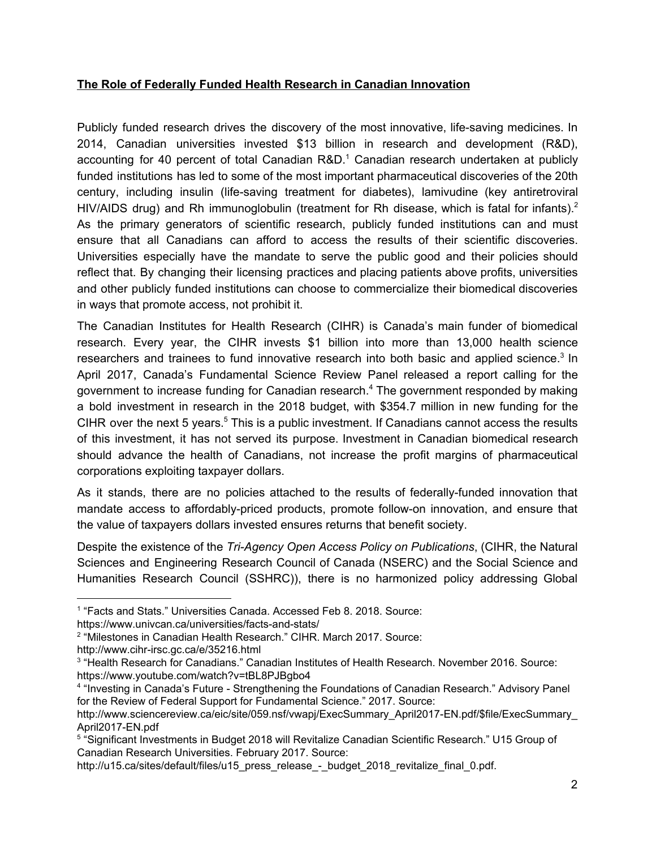# **The Role of Federally Funded Health Research in Canadian Innovation**

Publicly funded research drives the discovery of the most innovative, life-saving medicines. In 2014, Canadian universities invested \$13 billion in research and development (R&D), accounting for 40 percent of total Canadian  $R&D.<sup>1</sup>$  Canadian research undertaken at publicly funded institutions has led to some of the most important pharmaceutical discoveries of the 20th century, including insulin (life-saving treatment for diabetes), lamivudine (key antiretroviral HIV/AIDS drug) and Rh immunoglobulin (treatment for Rh disease, which is fatal for infants).<sup>2</sup> As the primary generators of scientific research, publicly funded institutions can and must ensure that all Canadians can afford to access the results of their scientific discoveries. Universities especially have the mandate to serve the public good and their policies should reflect that. By changing their licensing practices and placing patients above profits, universities and other publicly funded institutions can choose to commercialize their biomedical discoveries in ways that promote access, not prohibit it.

The Canadian Institutes for Health Research (CIHR) is Canada's main funder of biomedical research. Every year, the CIHR invests \$1 billion into more than 13,000 health science researchers and trainees to fund innovative research into both basic and applied science.<sup>3</sup> In April 2017, Canada's Fundamental Science Review Panel released a report calling for the government to increase funding for Canadian research.<sup>4</sup> The government responded by making a bold investment in research in the 2018 budget, with \$354.7 million in new funding for the CIHR over the next 5 years.<sup>5</sup> This is a public investment. If Canadians cannot access the results of this investment, it has not served its purpose. Investment in Canadian biomedical research should advance the health of Canadians, not increase the profit margins of pharmaceutical corporations exploiting taxpayer dollars.

As it stands, there are no policies attached to the results of federally-funded innovation that mandate access to affordably-priced products, promote follow-on innovation, and ensure that the value of taxpayers dollars invested ensures returns that benefit society.

Despite the existence of the *Tri-Agency Open Access Policy on Publications*, (CIHR, the Natural Sciences and Engineering Research Council of Canada (NSERC) and the Social Science and Humanities Research Council (SSHRC)), there is no harmonized policy addressing Global

<sup>&</sup>lt;sup>1</sup> "Facts and Stats." Universities Canada. Accessed Feb 8. 2018. Source:

https://www.univcan.ca/universities/facts-and-stats/

<sup>2</sup> "Milestones in Canadian Health Research." CIHR. March 2017. Source:

http://www.cihr-irsc.gc.ca/e/35216.html

<sup>3</sup> "Health Research for Canadians." Canadian Institutes of Health Research. November 2016. Source: https://www.youtube.com/watch?v=tBL8PJBgbo4

<sup>4</sup> "Investing in Canada's Future - Strengthening the Foundations of Canadian Research." Advisory Panel for the Review of Federal Support for Fundamental Science." 2017. Source:

http://www.sciencereview.ca/eic/site/059.nsf/vwapj/ExecSummary\_April2017-EN.pdf/\$file/ExecSummary\_ April2017-EN.pdf

<sup>5</sup> "Significant Investments in Budget 2018 will Revitalize Canadian Scientific Research." U15 Group of Canadian Research Universities. February 2017. Source:

http://u15.ca/sites/default/files/u15\_press\_release\_-\_budget\_2018\_revitalize\_final\_0.pdf.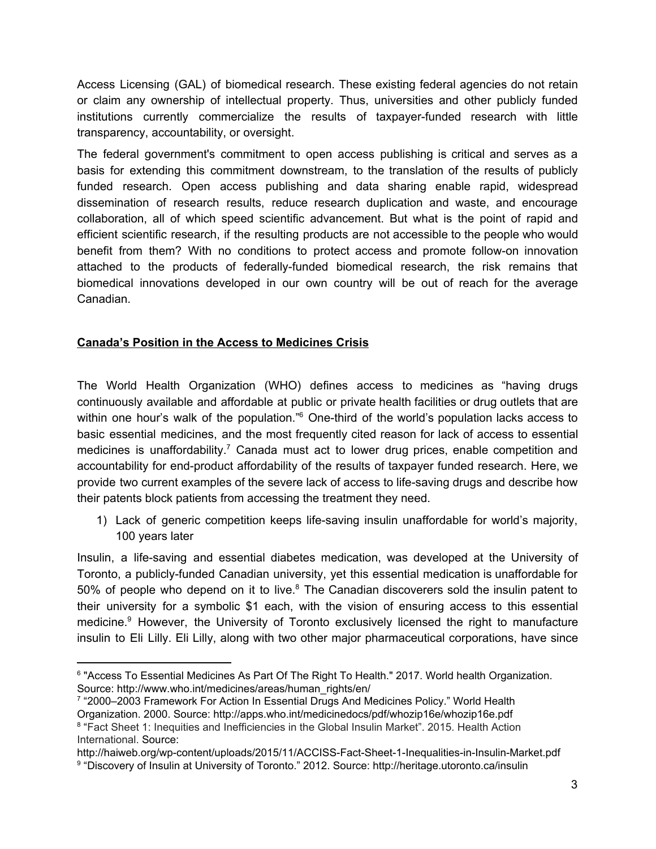Access Licensing (GAL) of biomedical research. These existing federal agencies do not retain or claim any ownership of intellectual property. Thus, universities and other publicly funded institutions currently commercialize the results of taxpayer-funded research with little transparency, accountability, or oversight.

The federal government's commitment to open access publishing is critical and serves as a basis for extending this commitment downstream, to the translation of the results of publicly funded research. Open access publishing and data sharing enable rapid, widespread dissemination of research results, reduce research duplication and waste, and encourage collaboration, all of which speed scientific advancement. But what is the point of rapid and efficient scientific research, if the resulting products are not accessible to the people who would benefit from them? With no conditions to protect access and promote follow-on innovation attached to the products of federally-funded biomedical research, the risk remains that biomedical innovations developed in our own country will be out of reach for the average Canadian.

# **Canada's Position in the Access to Medicines Crisis**

The World Health Organization (WHO) defines access to medicines as "having drugs continuously available and affordable at public or private health facilities or drug outlets that are within one hour's walk of the population." $6$  One-third of the world's population lacks access to basic essential medicines, and the most frequently cited reason for lack of access to essential medicines is unaffordability.<sup>7</sup> Canada must act to lower drug prices, enable competition and accountability for end-product affordability of the results of taxpayer funded research. Here, we provide two current examples of the severe lack of access to life-saving drugs and describe how their patents block patients from accessing the treatment they need.

1) Lack of generic competition keeps life-saving insulin unaffordable for world's majority, 100 years later

Insulin, a life-saving and essential diabetes medication, was developed at the University of Toronto, a publicly-funded Canadian university, yet this essential medication is unaffordable for 50% of people who depend on it to live. $8$  The Canadian discoverers sold the insulin patent to their university for a symbolic \$1 each, with the vision of ensuring access to this essential medicine.<sup>9</sup> However, the University of Toronto exclusively licensed the right to manufacture insulin to Eli Lilly. Eli Lilly, along with two other major pharmaceutical corporations, have since

<sup>6</sup> "Access To Essential Medicines As Part Of The Right To Health." 2017. World health Organization. Source: http://www.who.int/medicines/areas/human\_rights/en/

<sup>7</sup> "2000–2003 Framework For Action In Essential Drugs And Medicines Policy." World Health Organization. 2000. Source: http://apps.who.int/medicinedocs/pdf/whozip16e/whozip16e.pdf <sup>8</sup> "Fact Sheet 1: Inequities and Inefficiencies in the Global Insulin Market". 2015. Health Action International. Source:

http://haiweb.org/wp-content/uploads/2015/11/ACCISS-Fact-Sheet-1-Inequalities-in-Insulin-Market.pdf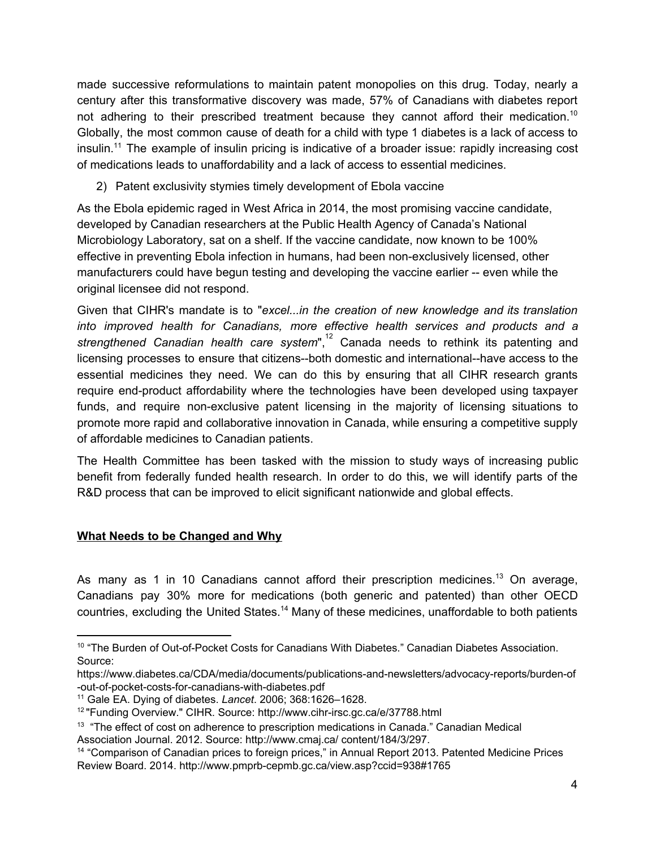made successive reformulations to maintain patent monopolies on this drug. Today, nearly a century after this transformative discovery was made, 57% of Canadians with diabetes report not adhering to their prescribed treatment because they cannot afford their medication.<sup>10</sup> Globally, the most common cause of death for a child with type 1 diabetes is a lack of access to insulin.<sup>11</sup> The example of insulin pricing is indicative of a broader issue: rapidly increasing cost of medications leads to unaffordability and a lack of access to essential medicines.

2) Patent exclusivity stymies timely development of Ebola vaccine

As the Ebola epidemic raged in West Africa in 2014, the most promising vaccine candidate, developed by Canadian researchers at the Public Health Agency of Canada's National Microbiology Laboratory, sat on a shelf. If the vaccine candidate, now known to be 100% effective in preventing Ebola infection in humans, had been non-exclusively licensed, other manufacturers could have begun testing and developing the vaccine earlier -- even while the original licensee did not respond.

Given that CIHR's mandate is to "*excel...in the creation of new knowledge and its translation into improved health for Canadians, more effective health services and products and a strengthened Canadian health care system*", Canada needs to rethink its patenting and 12 licensing processes to ensure that citizens--both domestic and international--have access to the essential medicines they need. We can do this by ensuring that all CIHR research grants require end-product affordability where the technologies have been developed using taxpayer funds, and require non-exclusive patent licensing in the majority of licensing situations to promote more rapid and collaborative innovation in Canada, while ensuring a competitive supply of affordable medicines to Canadian patients.

The Health Committee has been tasked with the mission to study ways of increasing public benefit from federally funded health research. In order to do this, we will identify parts of the R&D process that can be improved to elicit significant nationwide and global effects.

# **What Needs to be Changed and Why**

As many as 1 in 10 Canadians cannot afford their prescription medicines.<sup>13</sup> On average, Canadians pay 30% more for medications (both generic and patented) than other OECD countries, excluding the United States.<sup>14</sup> Many of these medicines, unaffordable to both patients

<sup>10</sup> "The Burden of Out-of-Pocket Costs for Canadians With Diabetes." Canadian Diabetes Association. Source:

https://www.diabetes.ca/CDA/media/documents/publications-and-newsletters/advocacy-reports/burden-of -out-of-pocket-costs-for-canadians-with-diabetes.pdf

<sup>11</sup> Gale EA. Dying of diabetes. *Lancet*. 2006; 368:1626–1628.

<sup>&</sup>lt;sup>12</sup> "Funding Overview." CIHR. Source: http://www.cihr-irsc.gc.ca/e/37788.html

<sup>&</sup>lt;sup>13</sup> "The effect of cost on adherence to prescription medications in Canada." Canadian Medical Association Journal. 2012. Source: http://www.cmaj.ca/ content/184/3/297.

<sup>&</sup>lt;sup>14</sup> "Comparison of Canadian prices to foreign prices," in Annual Report 2013. Patented Medicine Prices Review Board. 2014. http://www.pmprb-cepmb.gc.ca/view.asp?ccid=938#1765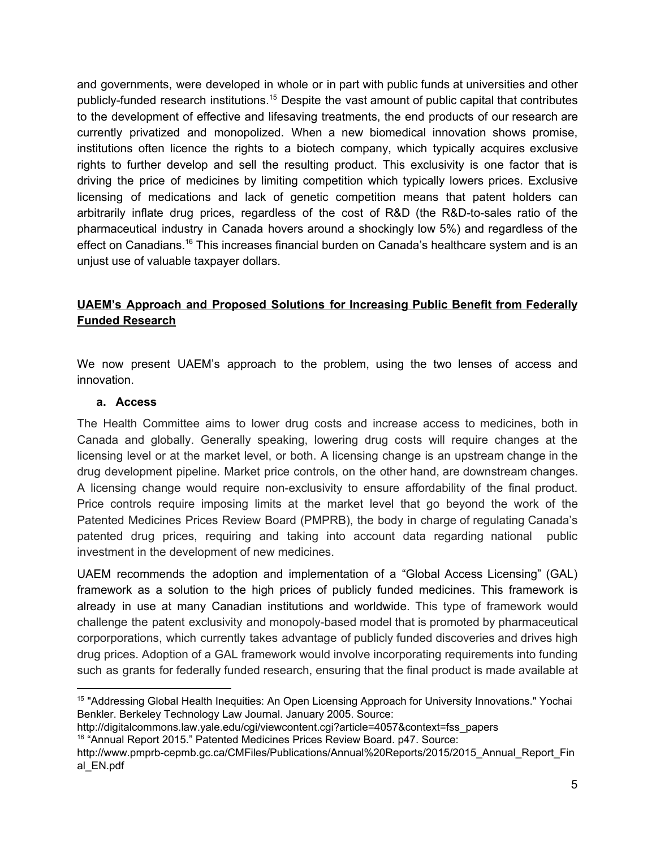and governments, were developed in whole or in part with public funds at universities and other publicly-funded research institutions.<sup>15</sup> Despite the vast amount of public capital that contributes to the development of effective and lifesaving treatments, the end products of our research are currently privatized and monopolized. When a new biomedical innovation shows promise, institutions often licence the rights to a biotech company, which typically acquires exclusive rights to further develop and sell the resulting product. This exclusivity is one factor that is driving the price of medicines by limiting competition which typically lowers prices. Exclusive licensing of medications and lack of genetic competition means that patent holders can arbitrarily inflate drug prices, regardless of the cost of R&D (the R&D-to-sales ratio of the pharmaceutical industry in Canada hovers around a shockingly low 5%) and regardless of the effect on Canadians.<sup>16</sup> This increases financial burden on Canada's healthcare system and is an unjust use of valuable taxpayer dollars.

# **UAEM's Approach and Proposed Solutions for Increasing Public Benefit from Federally Funded Research**

We now present UAEM's approach to the problem, using the two lenses of access and innovation.

#### **a. Access**

The Health Committee aims to lower drug costs and increase access to medicines, both in Canada and globally. Generally speaking, lowering drug costs will require changes at the licensing level or at the market level, or both. A licensing change is an upstream change in the drug development pipeline. Market price controls, on the other hand, are downstream changes. A licensing change would require non-exclusivity to ensure affordability of the final product. Price controls require imposing limits at the market level that go beyond the work of the Patented Medicines Prices Review Board (PMPRB), the body in charge of regulating Canada's patented drug prices, requiring and taking into account data regarding national public investment in the development of new medicines.

UAEM recommends the adoption and implementation of a "Global Access Licensing" (GAL) framework as a solution to the high prices of publicly funded medicines. This framework is already in use at many Canadian institutions and worldwide. This type of framework would challenge the patent exclusivity and monopoly-based model that is promoted by pharmaceutical corporporations, which currently takes advantage of publicly funded discoveries and drives high drug prices. Adoption of a GAL framework would involve incorporating requirements into funding such as grants for federally funded research, ensuring that the final product is made available at

<sup>&</sup>lt;sup>15</sup> "Addressing Global Health Inequities: An Open Licensing Approach for University Innovations." Yochai Benkler. Berkeley Technology Law Journal. January 2005. Source:

http://digitalcommons.law.yale.edu/cgi/viewcontent.cgi?article=4057&context=fss\_papers <sup>16</sup> "Annual Report 2015." Patented Medicines Prices Review Board. p47. Source:

http://www.pmprb-cepmb.gc.ca/CMFiles/Publications/Annual%20Reports/2015/2015\_Annual\_Report\_Fin al\_EN.pdf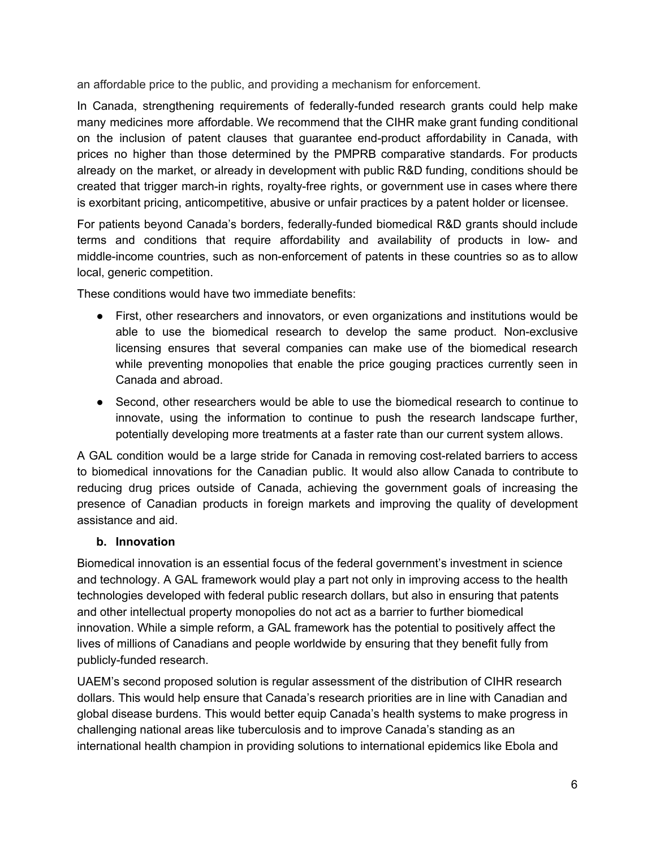an affordable price to the public, and providing a mechanism for enforcement.

In Canada, strengthening requirements of federally-funded research grants could help make many medicines more affordable. We recommend that the CIHR make grant funding conditional on the inclusion of patent clauses that guarantee end-product affordability in Canada, with prices no higher than those determined by the PMPRB comparative standards. For products already on the market, or already in development with public R&D funding, conditions should be created that trigger march-in rights, royalty-free rights, or government use in cases where there is exorbitant pricing, anticompetitive, abusive or unfair practices by a patent holder or licensee.

For patients beyond Canada's borders, federally-funded biomedical R&D grants should include terms and conditions that require affordability and availability of products in low- and middle-income countries, such as non-enforcement of patents in these countries so as to allow local, generic competition.

These conditions would have two immediate benefits:

- First, other researchers and innovators, or even organizations and institutions would be able to use the biomedical research to develop the same product. Non-exclusive licensing ensures that several companies can make use of the biomedical research while preventing monopolies that enable the price gouging practices currently seen in Canada and abroad.
- Second, other researchers would be able to use the biomedical research to continue to innovate, using the information to continue to push the research landscape further, potentially developing more treatments at a faster rate than our current system allows.

A GAL condition would be a large stride for Canada in removing cost-related barriers to access to biomedical innovations for the Canadian public. It would also allow Canada to contribute to reducing drug prices outside of Canada, achieving the government goals of increasing the presence of Canadian products in foreign markets and improving the quality of development assistance and aid.

# **b. Innovation**

Biomedical innovation is an essential focus of the federal government's investment in science and technology. A GAL framework would play a part not only in improving access to the health technologies developed with federal public research dollars, but also in ensuring that patents and other intellectual property monopolies do not act as a barrier to further biomedical innovation. While a simple reform, a GAL framework has the potential to positively affect the lives of millions of Canadians and people worldwide by ensuring that they benefit fully from publicly-funded research.

UAEM's second proposed solution is regular assessment of the distribution of CIHR research dollars. This would help ensure that Canada's research priorities are in line with Canadian and global disease burdens. This would better equip Canada's health systems to make progress in challenging national areas like tuberculosis and to improve Canada's standing as an international health champion in providing solutions to international epidemics like Ebola and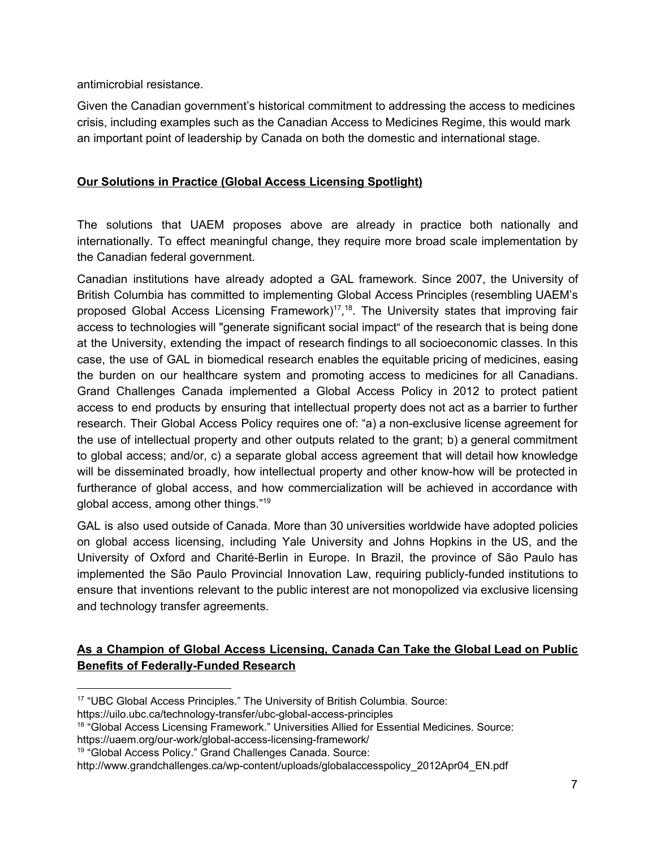antimicrobial resistance.

Given the Canadian government's historical commitment to addressing the access to medicines crisis, including examples such as the Canadian Access to Medicines Regime, this would mark an important point of leadership by Canada on both the domestic and international stage.

# **Our Solutions in Practice (Global Access Licensing Spotlight)**

The solutions that UAEM proposes above are already in practice both nationally and internationally. To effect meaningful change, they require more broad scale implementation by the Canadian federal government.

Canadian institutions have already adopted a GAL framework. Since 2007, the University of British Columbia has committed to implementing Global Access Principles (resembling UAEM's proposed Global Access Licensing Framework)<sup>17</sup>,<sup>18</sup>. The University states that improving fair access to technologies will "generate significant social impact" of the research that is being done at the University, extending the impact of research findings to all socioeconomic classes. In this case, the use of GAL in biomedical research enables the equitable pricing of medicines, easing the burden on our healthcare system and promoting access to medicines for all Canadians. Grand Challenges Canada implemented a Global Access Policy in 2012 to protect patient access to end products by ensuring that intellectual property does not act as a barrier to further research. Their Global Access Policy requires one of: "a) a non-exclusive license agreement for the use of intellectual property and other outputs related to the grant; b) a general commitment to global access; and/or, c) a separate global access agreement that will detail how knowledge will be disseminated broadly, how intellectual property and other know-how will be protected in furtherance of global access, and how commercialization will be achieved in accordance with global access, among other things."<sup>19</sup>

GAL is also used outside of Canada. More than 30 universities worldwide have adopted policies on global access licensing, including Yale University and Johns Hopkins in the US, and the University of Oxford and Charité-Berlin in Europe. In Brazil, the province of São Paulo has implemented the São Paulo Provincial Innovation Law, requiring publicly-funded institutions to ensure that inventions relevant to the public interest are not monopolized via exclusive licensing and technology transfer agreements.

# **As a Champion of Global Access Licensing, Canada Can Take the Global Lead on Public Benefits of Federally-Funded Research**

<sup>&</sup>lt;sup>17</sup> "UBC Global Access Principles." The University of British Columbia. Source:

https://uilo.ubc.ca/technology-transfer/ubc-global-access-principles

<sup>&</sup>lt;sup>18</sup> "Global Access Licensing Framework." Universities Allied for Essential Medicines. Source:

https://uaem.org/our-work/global-access-licensing-framework/

<sup>&</sup>lt;sup>19</sup> "Global Access Policy." Grand Challenges Canada. Source:

http://www.grandchallenges.ca/wp-content/uploads/globalaccesspolicy\_2012Apr04\_EN.pdf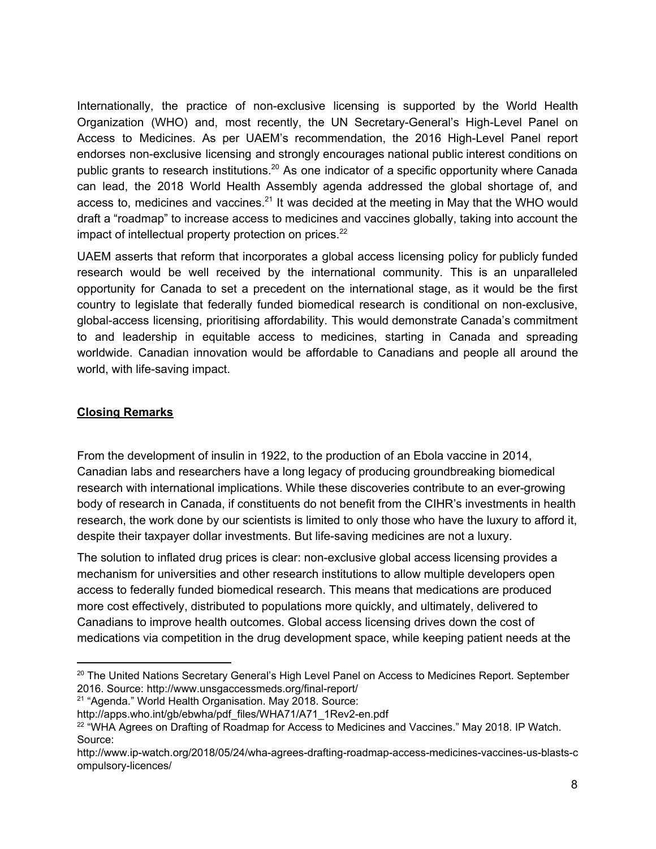Internationally, the practice of non-exclusive licensing is supported by the World Health Organization (WHO) and, most recently, the UN Secretary-General's High-Level Panel on Access to Medicines. As per UAEM's recommendation, the 2016 High-Level Panel report endorses non-exclusive licensing and strongly encourages national public interest conditions on public grants to research institutions.<sup>20</sup> As one indicator of a specific opportunity where Canada can lead, the 2018 World Health Assembly agenda addressed the global shortage of, and access to, medicines and vaccines. $21$  It was decided at the meeting in May that the WHO would draft a "roadmap" to increase access to medicines and vaccines globally, taking into account the impact of intellectual property protection on prices.<sup>22</sup>

UAEM asserts that reform that incorporates a global access licensing policy for publicly funded research would be well received by the international community. This is an unparalleled opportunity for Canada to set a precedent on the international stage, as it would be the first country to legislate that federally funded biomedical research is conditional on non-exclusive, global-access licensing, prioritising affordability. This would demonstrate Canada's commitment to and leadership in equitable access to medicines, starting in Canada and spreading worldwide. Canadian innovation would be affordable to Canadians and people all around the world, with life-saving impact.

# **Closing Remarks**

From the development of insulin in 1922, to the production of an Ebola vaccine in 2014, Canadian labs and researchers have a long legacy of producing groundbreaking biomedical research with international implications. While these discoveries contribute to an ever-growing body of research in Canada, if constituents do not benefit from the CIHR's investments in health research, the work done by our scientists is limited to only those who have the luxury to afford it, despite their taxpayer dollar investments. But life-saving medicines are not a luxury.

The solution to inflated drug prices is clear: non-exclusive global access licensing provides a mechanism for universities and other research institutions to allow multiple developers open access to federally funded biomedical research. This means that medications are produced more cost effectively, distributed to populations more quickly, and ultimately, delivered to Canadians to improve health outcomes. Global access licensing drives down the cost of medications via competition in the drug development space, while keeping patient needs at the

<sup>21</sup> "Agenda." World Health Organisation. May 2018. Source:

<sup>&</sup>lt;sup>20</sup> The United Nations Secretary General's High Level Panel on Access to Medicines Report. September 2016. Source: http://www.unsgaccessmeds.org/final-report/

http://apps.who.int/gb/ebwha/pdf\_files/WHA71/A71\_1Rev2-en.pdf

 $22$  "WHA Agrees on Drafting of Roadmap for Access to Medicines and Vaccines." May 2018. IP Watch. Source:

http://www.ip-watch.org/2018/05/24/wha-agrees-drafting-roadmap-access-medicines-vaccines-us-blasts-c ompulsory-licences/